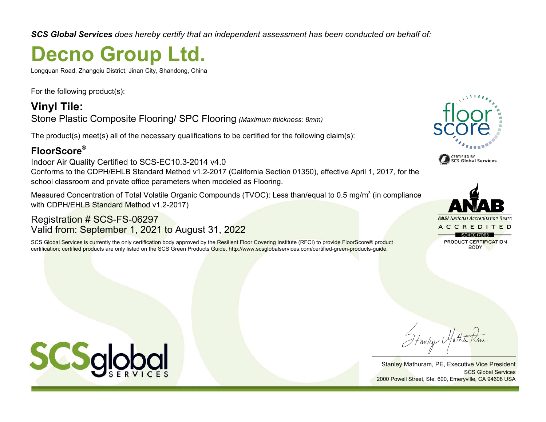*SCS Global Services does hereby certify that an independent assessment has been conducted on behalf of:*

## **Decno Group Ltd.**

Longquan Road, Zhangqiu District, Jinan City, Shandong, China

For the following product(s):

**Vinyl Tile:** Stone Plastic Composite Flooring/ SPC Flooring *(Maximum thickness: 8mm)*

The product(s) meet(s) all of the necessary qualifications to be certified for the following claim(s):

## **FloorScore®**

Indoor Air Quality Certified to SCS-EC10.3-2014 v4.0 Conforms to the CDPH/EHLB Standard Method v1.2-2017 (California Section 01350), effective April 1, 2017, for the school classroom and private office parameters when modeled as Flooring.

Measured Concentration of Total Volatile Organic Compounds (TVOC): Less than/equal to 0.5 mg/m $^3$  (in compliance with CDPH/EHLB Standard Method v1.2-2017)

## Registration # SCS-FS-06297 Valid from: September 1, 2021 to August 31, 2022

SCS Global Services is currently the only certification body approved by the Resilient Floor Covering Institute (RFCI) to provide FloorScore® product certification; certified products are only listed on the SCS Green Products Guide, http://www.scsglobalservices.com/certified-green-products-guide.





Stanley Mathuram, PE, Executive Vice President SCS Global Services 2000 Powell Street, Ste. 600, Emeryville, CA 94608 USA